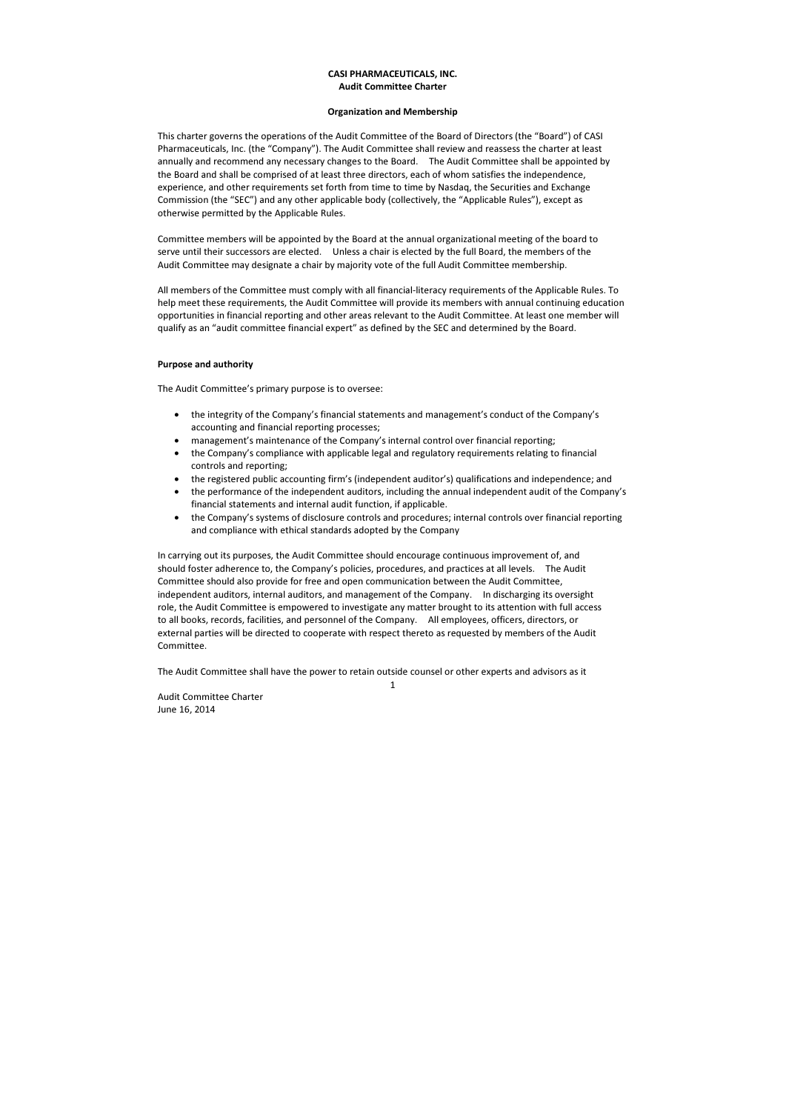1

Audit Committee Charter June 16, 2014

# CASI PHARMACEUTICALS, INC. Audit Committee Charter

# Organization and Membership

This charter governs the operations of the Audit Committee of the Board of Directors (the "Board") of CASI Pharmaceuticals, Inc. (the "Company"). The Audit Committee shall review and reassess the charter at least annually and recommend any necessary changes to the Board. The Audit Committee shall be appointed by the Board and shall be comprised of at least three directors, each of whom satisfies the independence, experience, and other requirements set forth from time to time by Nasdaq, the Securities and Exchange Commission (the "SEC") and any other applicable body (collectively, the "Applicable Rules"), except as otherwise permitted by the Applicable Rules.

Committee members will be appointed by the Board at the annual organizational meeting of the board to serve until their successors are elected. Unless a chair is elected by the full Board, the members of the Audit Committee may designate a chair by majority vote of the full Audit Committee membership.

All members of the Committee must comply with all financial-literacy requirements of the Applicable Rules. To help meet these requirements, the Audit Committee will provide its members with annual continuing education opportunities in financial reporting and other areas relevant to the Audit Committee. At least one member will qualify as an "audit committee financial expert" as defined by the SEC and determined by the Board.

### Purpose and authority

The Audit Committee's primary purpose is to oversee:

- the integrity of the Company's financial statements and management's conduct of the Company's accounting and financial reporting processes;
- management's maintenance of the Company's internal control over financial reporting;
- the Company's compliance with applicable legal and regulatory requirements relating to financial controls and reporting;
- the registered public accounting firm's (independent auditor's) qualifications and independence; and
- the performance of the independent auditors, including the annual independent audit of the Company's financial statements and internal audit function, if applicable.
- the Company's systems of disclosure controls and procedures; internal controls over financial reporting and compliance with ethical standards adopted by the Company

In carrying out its purposes, the Audit Committee should encourage continuous improvement of, and should foster adherence to, the Company's policies, procedures, and practices at all levels. The Audit Committee should also provide for free and open communication between the Audit Committee, independent auditors, internal auditors, and management of the Company. In discharging its oversight role, the Audit Committee is empowered to investigate any matter brought to its attention with full access to all books, records, facilities, and personnel of the Company. All employees, officers, directors, or external parties will be directed to cooperate with respect thereto as requested by members of the Audit Committee.

The Audit Committee shall have the power to retain outside counsel or other experts and advisors as it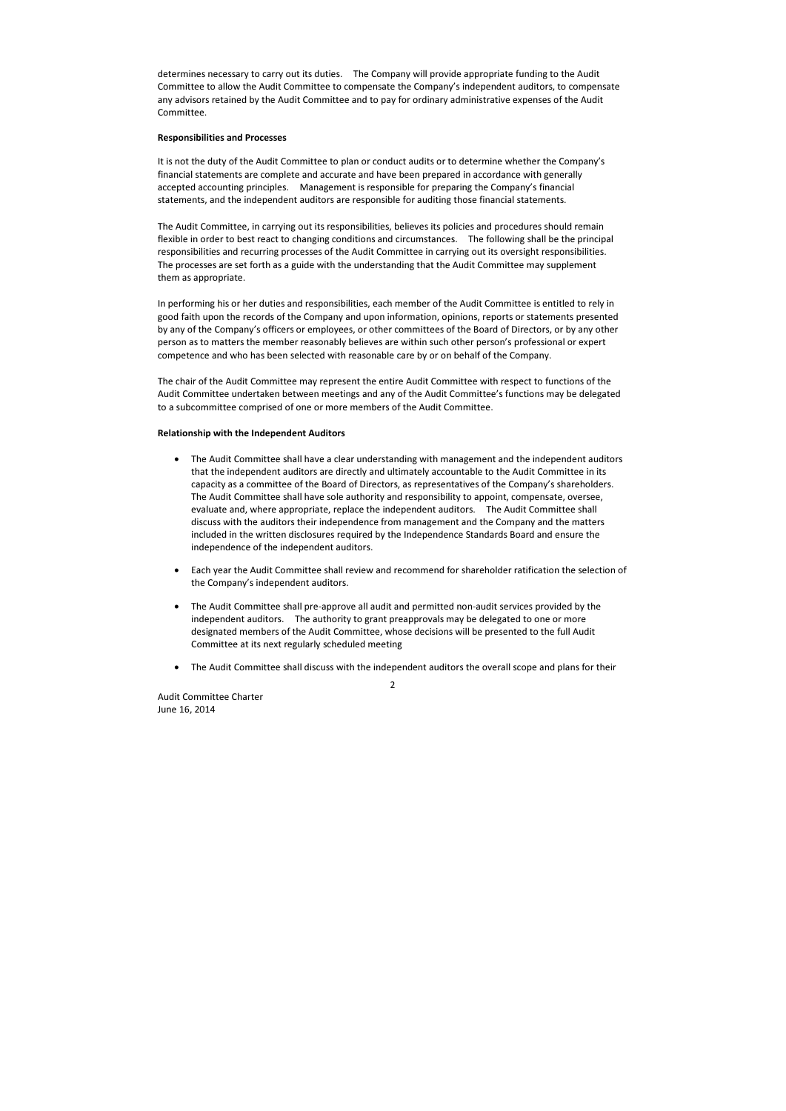Audit Committee Charter June 16, 2014

determines necessary to carry out its duties. The Company will provide appropriate funding to the Audit Committee to allow the Audit Committee to compensate the Company's independent auditors, to compensate any advisors retained by the Audit Committee and to pay for ordinary administrative expenses of the Audit Committee.

### Responsibilities and Processes

It is not the duty of the Audit Committee to plan or conduct audits or to determine whether the Company's financial statements are complete and accurate and have been prepared in accordance with generally accepted accounting principles. Management is responsible for preparing the Company's financial statements, and the independent auditors are responsible for auditing those financial statements.

The Audit Committee, in carrying out its responsibilities, believes its policies and procedures should remain flexible in order to best react to changing conditions and circumstances. The following shall be the principal responsibilities and recurring processes of the Audit Committee in carrying out its oversight responsibilities. The processes are set forth as a guide with the understanding that the Audit Committee may supplement them as appropriate.

In performing his or her duties and responsibilities, each member of the Audit Committee is entitled to rely in good faith upon the records of the Company and upon information, opinions, reports or statements presented by any of the Company's officers or employees, or other committees of the Board of Directors, or by any other person as to matters the member reasonably believes are within such other person's professional or expert competence and who has been selected with reasonable care by or on behalf of the Company.

The chair of the Audit Committee may represent the entire Audit Committee with respect to functions of the Audit Committee undertaken between meetings and any of the Audit Committee's functions may be delegated to a subcommittee comprised of one or more members of the Audit Committee.

#### Relationship with the Independent Auditors

- The Audit Committee shall have a clear understanding with management and the independent auditors that the independent auditors are directly and ultimately accountable to the Audit Committee in its capacity as a committee of the Board of Directors, as representatives of the Company's shareholders. The Audit Committee shall have sole authority and responsibility to appoint, compensate, oversee, evaluate and, where appropriate, replace the independent auditors. The Audit Committee shall discuss with the auditors their independence from management and the Company and the matters included in the written disclosures required by the Independence Standards Board and ensure the independence of the independent auditors.
- Each year the Audit Committee shall review and recommend for shareholder ratification the selection of the Company's independent auditors.
- The Audit Committee shall pre-approve all audit and permitted non-audit services provided by the independent auditors. The authority to grant preapprovals may be delegated to one or more designated members of the Audit Committee, whose decisions will be presented to the full Audit Committee at its next regularly scheduled meeting
- The Audit Committee shall discuss with the independent auditors the overall scope and plans for their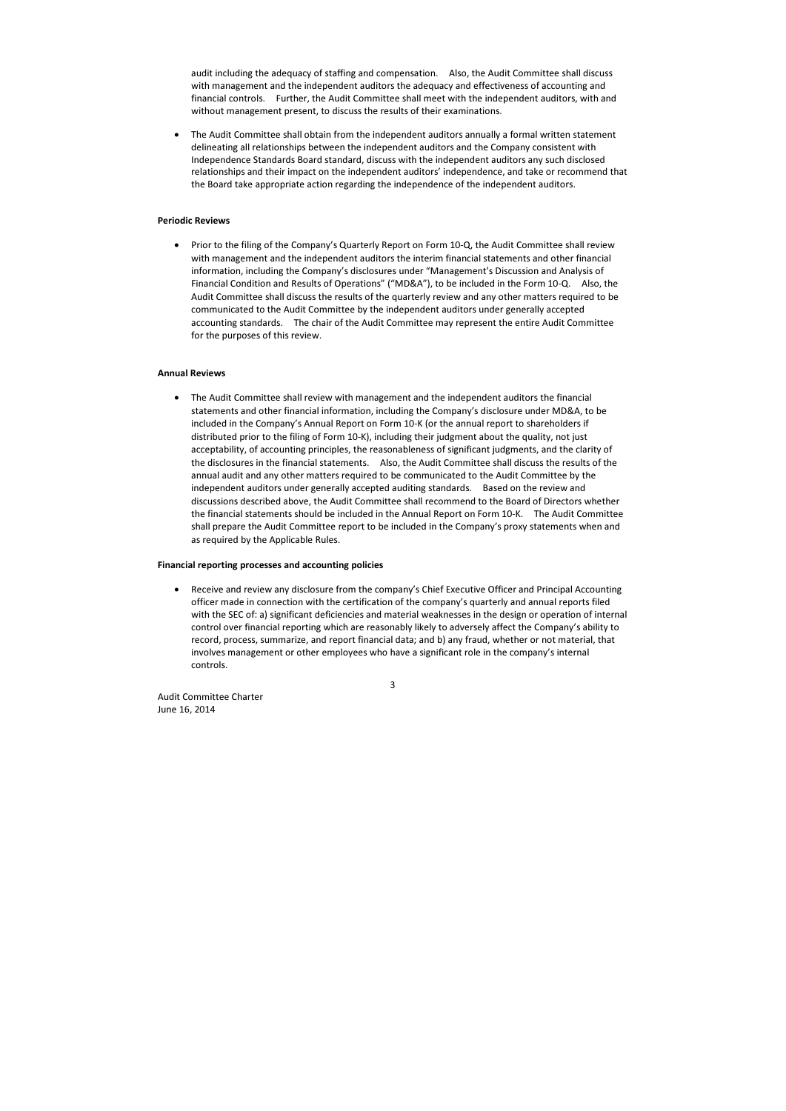Audit Committee Charter June 16, 2014

audit including the adequacy of staffing and compensation. Also, the Audit Committee shall discuss with management and the independent auditors the adequacy and effectiveness of accounting and financial controls. Further, the Audit Committee shall meet with the independent auditors, with and without management present, to discuss the results of their examinations.

• The Audit Committee shall obtain from the independent auditors annually a formal written statement delineating all relationships between the independent auditors and the Company consistent with Independence Standards Board standard, discuss with the independent auditors any such disclosed relationships and their impact on the independent auditors' independence, and take or recommend that the Board take appropriate action regarding the independence of the independent auditors.

# Periodic Reviews

• Prior to the filing of the Company's Quarterly Report on Form 10-Q, the Audit Committee shall review with management and the independent auditors the interim financial statements and other financial information, including the Company's disclosures under "Management's Discussion and Analysis of Financial Condition and Results of Operations" ("MD&A"), to be included in the Form 10-Q. Also, the Audit Committee shall discuss the results of the quarterly review and any other matters required to be communicated to the Audit Committee by the independent auditors under generally accepted accounting standards. The chair of the Audit Committee may represent the entire Audit Committee for the purposes of this review.

### Annual Reviews

• The Audit Committee shall review with management and the independent auditors the financial statements and other financial information, including the Company's disclosure under MD&A, to be included in the Company's Annual Report on Form 10-K (or the annual report to shareholders if distributed prior to the filing of Form 10-K), including their judgment about the quality, not just acceptability, of accounting principles, the reasonableness of significant judgments, and the clarity of the disclosures in the financial statements. Also, the Audit Committee shall discuss the results of the annual audit and any other matters required to be communicated to the Audit Committee by the independent auditors under generally accepted auditing standards. Based on the review and discussions described above, the Audit Committee shall recommend to the Board of Directors whether the financial statements should be included in the Annual Report on Form 10-K. The Audit Committee shall prepare the Audit Committee report to be included in the Company's proxy statements when and as required by the Applicable Rules.

#### Financial reporting processes and accounting policies

• Receive and review any disclosure from the company's Chief Executive Officer and Principal Accounting officer made in connection with the certification of the company's quarterly and annual reports filed with the SEC of: a) significant deficiencies and material weaknesses in the design or operation of internal control over financial reporting which are reasonably likely to adversely affect the Company's ability to record, process, summarize, and report financial data; and b) any fraud, whether or not material, that involves management or other employees who have a significant role in the company's internal controls.